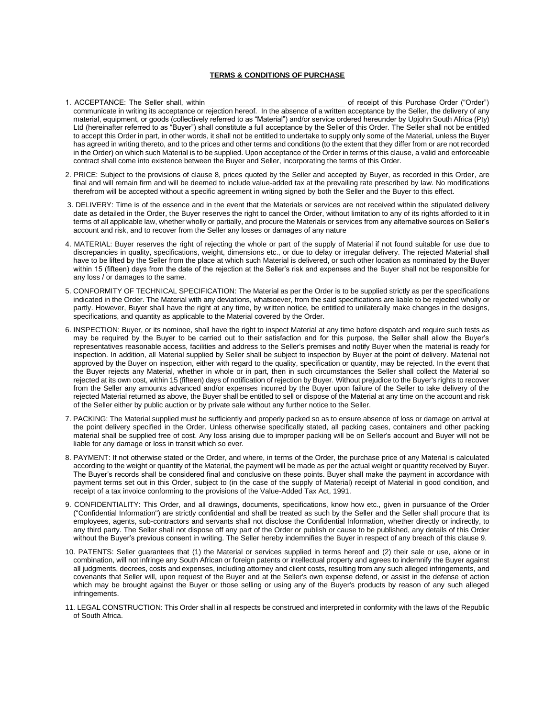## **TERMS & CONDITIONS OF PURCHASE**

- 1. ACCEPTANCE: The Seller shall, within the state of the state of receipt of this Purchase Order ("Order") communicate in writing its acceptance or rejection hereof. In the absence of a written acceptance by the Seller, the delivery of any material, equipment, or goods (collectively referred to as "Material") and/or service ordered hereunder by Upjohn South Africa (Pty) Ltd (hereinafter referred to as "Buyer") shall constitute a full acceptance by the Seller of this Order. The Seller shall not be entitled to accept this Order in part, in other words, it shall not be entitled to undertake to supply only some of the Material, unless the Buyer has agreed in writing thereto, and to the prices and other terms and conditions (to the extent that they differ from or are not recorded in the Order) on which such Material is to be supplied. Upon acceptance of the Order in terms of this clause, a valid and enforceable contract shall come into existence between the Buyer and Seller, incorporating the terms of this Order.
- 2. PRICE: Subject to the provisions of clause 8, prices quoted by the Seller and accepted by Buyer, as recorded in this Order, are final and will remain firm and will be deemed to include value-added tax at the prevailing rate prescribed by law. No modifications therefrom will be accepted without a specific agreement in writing signed by both the Seller and the Buyer to this effect.
- 3. DELIVERY: Time is of the essence and in the event that the Materials or services are not received within the stipulated delivery date as detailed in the Order, the Buyer reserves the right to cancel the Order, without limitation to any of its rights afforded to it in terms of all applicable law, whether wholly or partially, and procure the Materials or services from any alternative sources on Seller's account and risk, and to recover from the Seller any losses or damages of any nature
- 4. MATERIAL: Buyer reserves the right of rejecting the whole or part of the supply of Material if not found suitable for use due to discrepancies in quality, specifications, weight, dimensions etc., or due to delay or irregular delivery. The rejected Material shall have to be lifted by the Seller from the place at which such Material is delivered, or such other location as nominated by the Buyer within 15 (fifteen) days from the date of the rejection at the Seller's risk and expenses and the Buyer shall not be responsible for any loss / or damages to the same.
- 5. CONFORMITY OF TECHNICAL SPECIFICATION: The Material as per the Order is to be supplied strictly as per the specifications indicated in the Order. The Material with any deviations, whatsoever, from the said specifications are liable to be rejected wholly or partly. However, Buyer shall have the right at any time, by written notice, be entitled to unilaterally make changes in the designs, specifications, and quantity as applicable to the Material covered by the Order.
- 6. INSPECTION: Buyer, or its nominee, shall have the right to inspect Material at any time before dispatch and require such tests as may be required by the Buyer to be carried out to their satisfaction and for this purpose, the Seller shall allow the Buyer's representatives reasonable access, facilities and address to the Seller's premises and notify Buyer when the material is ready for inspection. In addition, all Material supplied by Seller shall be subject to inspection by Buyer at the point of delivery. Material not approved by the Buyer on inspection, either with regard to the quality, specification or quantity, may be rejected. In the event that the Buyer rejects any Material, whether in whole or in part, then in such circumstances the Seller shall collect the Material so rejected at its own cost, within 15 (fifteen) days of notification of rejection by Buyer. Without prejudice to the Buyer's rights to recover from the Seller any amounts advanced and/or expenses incurred by the Buyer upon failure of the Seller to take delivery of the rejected Material returned as above, the Buyer shall be entitled to sell or dispose of the Material at any time on the account and risk of the Seller either by public auction or by private sale without any further notice to the Seller.
- 7. PACKING: The Material supplied must be sufficiently and properly packed so as to ensure absence of loss or damage on arrival at the point delivery specified in the Order. Unless otherwise specifically stated, all packing cases, containers and other packing material shall be supplied free of cost. Any loss arising due to improper packing will be on Seller's account and Buyer will not be liable for any damage or loss in transit which so ever.
- 8. PAYMENT: If not otherwise stated or the Order, and where, in terms of the Order, the purchase price of any Material is calculated according to the weight or quantity of the Material, the payment will be made as per the actual weight or quantity received by Buyer. The Buyer's records shall be considered final and conclusive on these points. Buyer shall make the payment in accordance with payment terms set out in this Order, subject to (in the case of the supply of Material) receipt of Material in good condition, and receipt of a tax invoice conforming to the provisions of the Value-Added Tax Act, 1991.
- 9. CONFIDENTIALITY: This Order, and all drawings, documents, specifications, know how etc., given in pursuance of the Order ("Confidential Information") are strictly confidential and shall be treated as such by the Seller and the Seller shall procure that its employees, agents, sub-contractors and servants shall not disclose the Confidential Information, whether directly or indirectly, to any third party. The Seller shall not dispose off any part of the Order or publish or cause to be published, any details of this Order without the Buyer's previous consent in writing. The Seller hereby indemnifies the Buyer in respect of any breach of this clause 9.
- 10. PATENTS: Seller guarantees that (1) the Material or services supplied in terms hereof and (2) their sale or use, alone or in combination, will not infringe any South African or foreign patents or intellectual property and agrees to indemnify the Buyer against all judgments, decrees, costs and expenses, including attorney and client costs, resulting from any such alleged infringements, and covenants that Seller will, upon request of the Buyer and at the Seller's own expense defend, or assist in the defense of action which may be brought against the Buyer or those selling or using any of the Buyer's products by reason of any such alleged infringements.
- 11. LEGAL CONSTRUCTION: This Order shall in all respects be construed and interpreted in conformity with the laws of the Republic of South Africa.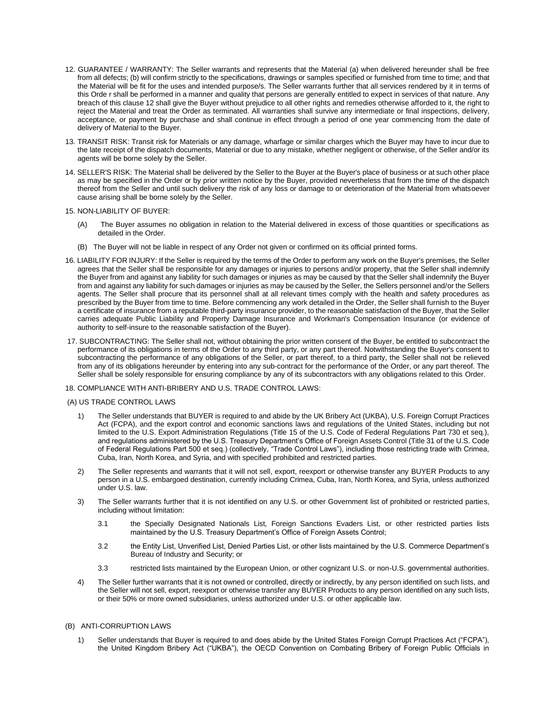- 12. GUARANTEE / WARRANTY: The Seller warrants and represents that the Material (a) when delivered hereunder shall be free from all defects; (b) will confirm strictly to the specifications, drawings or samples specified or furnished from time to time; and that the Material will be fit for the uses and intended purpose/s. The Seller warrants further that all services rendered by it in terms of this Orde r shall be performed in a manner and quality that persons are generally entitled to expect in services of that nature. Any breach of this clause 12 shall give the Buyer without prejudice to all other rights and remedies otherwise afforded to it, the right to reject the Material and treat the Order as terminated. All warranties shall survive any intermediate or final inspections, delivery, acceptance, or payment by purchase and shall continue in effect through a period of one year commencing from the date of delivery of Material to the Buyer.
- 13. TRANSIT RISK: Transit risk for Materials or any damage, wharfage or similar charges which the Buyer may have to incur due to the late receipt of the dispatch documents, Material or due to any mistake, whether negligent or otherwise, of the Seller and/or its agents will be borne solely by the Seller.
- 14. SELLER'S RISK: The Material shall be delivered by the Seller to the Buyer at the Buyer's place of business or at such other place as may be specified in the Order or by prior written notice by the Buyer, provided nevertheless that from the time of the dispatch thereof from the Seller and until such delivery the risk of any loss or damage to or deterioration of the Material from whatsoever cause arising shall be borne solely by the Seller.
- 15. NON-LIABILITY OF BUYER:
	- (A) The Buyer assumes no obligation in relation to the Material delivered in excess of those quantities or specifications as detailed in the Order.
	- (B) The Buyer will not be liable in respect of any Order not given or confirmed on its official printed forms.
- 16. LIABILITY FOR INJURY: If the Seller is required by the terms of the Order to perform any work on the Buyer's premises, the Seller agrees that the Seller shall be responsible for any damages or injuries to persons and/or property, that the Seller shall indemnify the Buyer from and against any liability for such damages or injuries as may be caused by that the Seller shall indemnify the Buyer from and against any liability for such damages or injuries as may be caused by the Seller, the Sellers personnel and/or the Sellers agents. The Seller shall procure that its personnel shall at all relevant times comply with the health and safety procedures as prescribed by the Buyer from time to time. Before commencing any work detailed in the Order, the Seller shall furnish to the Buyer a certificate of insurance from a reputable third-party insurance provider, to the reasonable satisfaction of the Buyer, that the Seller carries adequate Public Liability and Property Damage Insurance and Workman's Compensation Insurance (or evidence of authority to self-insure to the reasonable satisfaction of the Buyer).
- 17. SUBCONTRACTING: The Seller shall not, without obtaining the prior written consent of the Buyer, be entitled to subcontract the performance of its obligations in terms of the Order to any third party, or any part thereof. Notwithstanding the Buyer's consent to subcontracting the performance of any obligations of the Seller, or part thereof, to a third party, the Seller shall not be relieved from any of its obligations hereunder by entering into any sub-contract for the performance of the Order, or any part thereof. The Seller shall be solely responsible for ensuring compliance by any of its subcontractors with any obligations related to this Order.

18. COMPLIANCE WITH ANTI-BRIBERY AND U.S. TRADE CONTROL LAWS:

## (A) US TRADE CONTROL LAWS

- 1) The Seller understands that BUYER is required to and abide by the UK Bribery Act (UKBA), U.S. Foreign Corrupt Practices Act (FCPA), and the export control and economic sanctions laws and regulations of the United States, including but not limited to the U.S. Export Administration Regulations (Title 15 of the U.S. Code of Federal Regulations Part 730 et seq.), and regulations administered by the U.S. Treasury Department's Office of Foreign Assets Control (Title 31 of the U.S. Code of Federal Regulations Part 500 et seq.) (collectively, "Trade Control Laws"), including those restricting trade with Crimea, Cuba, Iran, North Korea, and Syria, and with specified prohibited and restricted parties.
- 2) The Seller represents and warrants that it will not sell, export, reexport or otherwise transfer any BUYER Products to any person in a U.S. embargoed destination, currently including Crimea, Cuba, Iran, North Korea, and Syria, unless authorized under U.S. law.
- 3) The Seller warrants further that it is not identified on any U.S. or other Government list of prohibited or restricted parties, including without limitation:
	- 3.1 the Specially Designated Nationals List, Foreign Sanctions Evaders List, or other restricted parties lists maintained by the U.S. Treasury Department's Office of Foreign Assets Control;
	- 3.2 the Entity List, Unverified List, Denied Parties List, or other lists maintained by the U.S. Commerce Department's Bureau of Industry and Security; or
	- 3.3 restricted lists maintained by the European Union, or other cognizant U.S. or non-U.S. governmental authorities.
- 4) The Seller further warrants that it is not owned or controlled, directly or indirectly, by any person identified on such lists, and the Seller will not sell, export, reexport or otherwise transfer any BUYER Products to any person identified on any such lists, or their 50% or more owned subsidiaries, unless authorized under U.S. or other applicable law.

## (B) ANTI-CORRUPTION LAWS

1) Seller understands that Buyer is required to and does abide by the United States Foreign Corrupt Practices Act ("FCPA"), the United Kingdom Bribery Act ("UKBA"), the OECD Convention on Combating Bribery of Foreign Public Officials in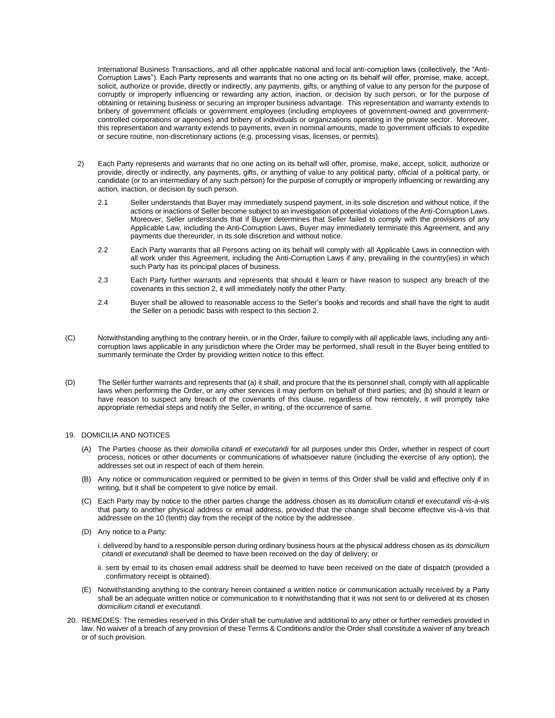International Business Transactions, and all other applicable national and local anti-corruption laws (collectively, the "Anti-Corruption Laws"). Each Party represents and warrants that no one acting on its behalf will offer, promise, make, accept, solicit, authorize or provide, directly or indirectly, any payments, gifts, or anything of value to any person for the purpose of corruptly or improperly influencing or rewarding any action, inaction, or decision by such person, or for the purpose of obtaining or retaining business or securing an improper business advantage. This representation and warranty extends to bribery of government officials or government employees (including employees of government-owned and governmentcontrolled corporations or agencies) and bribery of individuals or organizations operating in the private sector. Moreover, this representation and warranty extends to payments, even in nominal amounts, made to government officials to expedite or secure routine, non-discretionary actions (e.g. processing visas, licenses, or permits).

- 2) Each Party represents and warrants that no one acting on its behalf will offer, promise, make, accept, solicit, authorize or provide, directly or indirectly, any payments, gifts, or anything of value to any political party, official of a political party, or candidate (or to an intermediary of any such person) for the purpose of corruptly or improperly influencing or rewarding any action, inaction, or decision by such person.
	- 2.1 Seller understands that Buyer may immediately suspend payment, in its sole discretion and without notice, if the actions or inactions of Seller become subject to an investigation of potential violations of the Anti-Corruption Laws. Moreover, Seller understands that if Buyer determines that Seller failed to comply with the provisions of any Applicable Law, including the Anti-Corruption Laws, Buyer may immediately terminate this Agreement, and any payments due thereunder, in its sole discretion and without notice.
	- 2.2 Each Party warrants that all Persons acting on its behalf will comply with all Applicable Laws in connection with all work under this Agreement, including the Anti-Corruption Laws if any, prevailing in the country(ies) in which such Party has its principal places of business.
	- 2.3 Each Party further warrants and represents that should it learn or have reason to suspect any breach of the covenants in this section 2, it will immediately notify the other Party.
	- 2.4 Buyer shall be allowed to reasonable access to the Seller's books and records and shall have the right to audit the Seller on a periodic basis with respect to this section 2.
- (C) Notwithstanding anything to the contrary herein, or in the Order, failure to comply with all applicable laws, including any anticorruption laws applicable in any jurisdiction where the Order may be performed, shall result in the Buyer being entitled to summarily terminate the Order by providing written notice to this effect.
- (D) The Seller further warrants and represents that (a) it shall, and procure that the its personnel shall, comply with all applicable laws when performing the Order, or any other services it may perform on behalf of third parties; and (b) should it learn or have reason to suspect any breach of the covenants of this clause, regardless of how remotely, it will promptly take appropriate remedial steps and notify the Seller, in writing, of the occurrence of same.

## 19. DOMICILIA AND NOTICES

- (A) The Parties choose as their *domicilia citandi et executandi* for all purposes under this Order, whether in respect of court process, notices or other documents or communications of whatsoever nature (including the exercise of any option), the addresses set out in respect of each of them herein.
- (B) Any notice or communication required or permitted to be given in terms of this Order shall be valid and effective only if in writing, but it shall be competent to give notice by email.
- (C) Each Party may by notice to the other parties change the address chosen as its *domicilium citandi et executandi vis-à-vis* that party to another physical address or email address, provided that the change shall become effective vis-à-vis that addressee on the 10 (tenth) day from the receipt of the notice by the addressee.
- (D) Any notice to a Party:
	- i. delivered by hand to a responsible person during ordinary business hours at the physical address chosen as its *domicilium citandi et executandi* shall be deemed to have been received on the day of delivery; or
	- ii. sent by email to its chosen email address shall be deemed to have been received on the date of dispatch (provided a confirmatory receipt is obtained).
- (E) Notwithstanding anything to the contrary herein contained a written notice or communication actually received by a Party shall be an adequate written notice or communication to it notwithstanding that it was not sent to or delivered at its chosen *domicilium citandi et executandi*.
- 20. REMEDIES: The remedies reserved in this Order shall be cumulative and additional to any other or further remedies provided in law. No waiver of a breach of any provision of these Terms & Conditions and/or the Order shall constitute a waiver of any breach or of such provision.